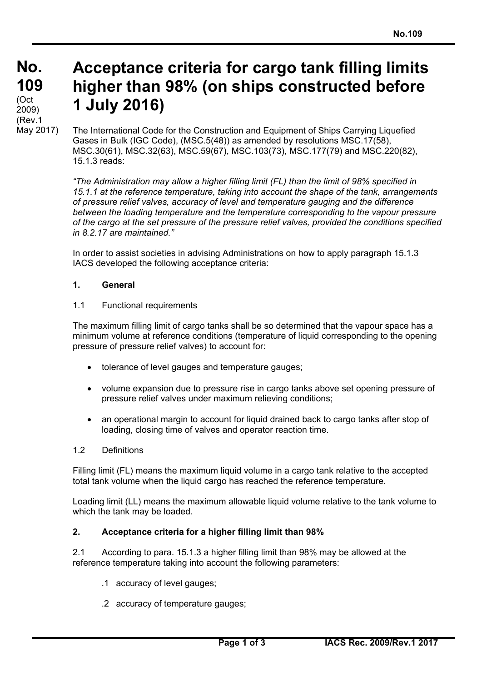# **Acceptance criteria for cargo tank filling limits higher than 98% (on ships constructed before 1 July 2016)**

The International Code for the Construction and Equipment of Ships Carrying Liquefied Gases in Bulk (IGC Code), (MSC.5(48)) as amended by resolutions MSC.17(58), MSC.30(61), MSC.32(63), MSC.59(67), MSC.103(73), MSC.177(79) and MSC.220(82), 15.1.3 reads:

*"The Administration may allow a higher filling limit (FL) than the limit of 98% specified in 15.1.1 at the reference temperature, taking into account the shape of the tank, arrangements of pressure relief valves, accuracy of level and temperature gauging and the difference between the loading temperature and the temperature corresponding to the vapour pressure of the cargo at the set pressure of the pressure relief valves, provided the conditions specified in 8.2.17 are maintained."*

In order to assist societies in advising Administrations on how to apply paragraph 15.1.3 IACS developed the following acceptance criteria:

# **1. General**

### 1.1 Functional requirements

The maximum filling limit of cargo tanks shall be so determined that the vapour space has a minimum volume at reference conditions (temperature of liquid corresponding to the opening pressure of pressure relief valves) to account for:

- tolerance of level gauges and temperature gauges;
- volume expansion due to pressure rise in cargo tanks above set opening pressure of pressure relief valves under maximum relieving conditions;
- an operational margin to account for liquid drained back to cargo tanks after stop of loading, closing time of valves and operator reaction time.

### 1.2 Definitions

 $\overline{a}$ 

Filling limit (FL) means the maximum liquid volume in a cargo tank relative to the accepted total tank volume when the liquid cargo has reached the reference temperature.

Loading limit (LL) means the maximum allowable liquid volume relative to the tank volume to which the tank may be loaded.

# **2. Acceptance criteria for a higher filling limit than 98%**

2.1 According to para. 15.1.3 a higher filling limit than 98% may be allowed at the reference temperature taking into account the following parameters:

- .1 accuracy of level gauges;
- .2 accuracy of temperature gauges;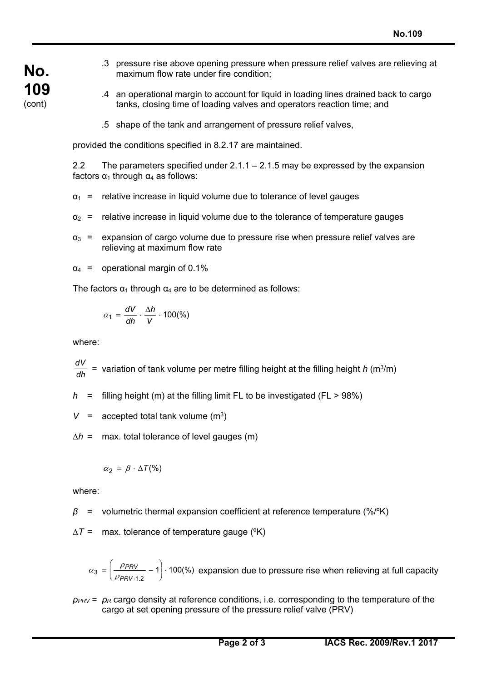- .3 pressure rise above opening pressure when pressure relief valves are relieving at maximum flow rate under fire condition;
	- .4 an operational margin to account for liquid in loading lines drained back to cargo tanks, closing time of loading valves and operators reaction time; and
	- .5 shape of the tank and arrangement of pressure relief valves,

provided the conditions specified in 8.2.17 are maintained.

2.2 The parameters specified under  $2.1.1 - 2.1.5$  may be expressed by the expansion factors  $α_1$  through  $α_4$  as follows:

- $a_1$  = relative increase in liquid volume due to tolerance of level gauges
- $\alpha_2$  = relative increase in liquid volume due to the tolerance of temperature gauges
- $\alpha_3$  = expansion of cargo volume due to pressure rise when pressure relief valves are relieving at maximum flow rate
- $\alpha_4$  = operational margin of 0.1%

The factors  $\alpha_1$  through  $\alpha_4$  are to be determined as follows:

$$
\alpha_1 = \frac{dV}{dh} \cdot \frac{\Delta h}{V} \cdot 100\%
$$

where:

**No.** 

**109**  (cont)

 $\frac{dV}{dh}$  = variation of tank volume per metre filling height at the filling height *h* (m<sup>3</sup>/m)

 $h =$  filling height (m) at the filling limit FL to be investigated (FL > 98%)

 $V =$  accepted total tank volume  $(m^3)$ 

∆*h* = max. total tolerance of level gauges (m)

$$
\alpha_2 = \beta \cdot \Delta T(\%)
$$

where:

 $\overline{a}$ 

- *β* = volumetric thermal expansion coefficient at reference temperature (%/ºK)
- ∆*T* = max. tolerance of temperature gauge (ºK)

$$
\alpha_3 = \left(\frac{\rho_{PRV}}{\rho_{PRV \cdot 1.2}} - 1\right) \cdot 100\%
$$
 expansion due to pressure rise when relieving at full capacity

*ρPRV* = *ρR* cargo density at reference conditions, i.e. corresponding to the temperature of the cargo at set opening pressure of the pressure relief valve (PRV)